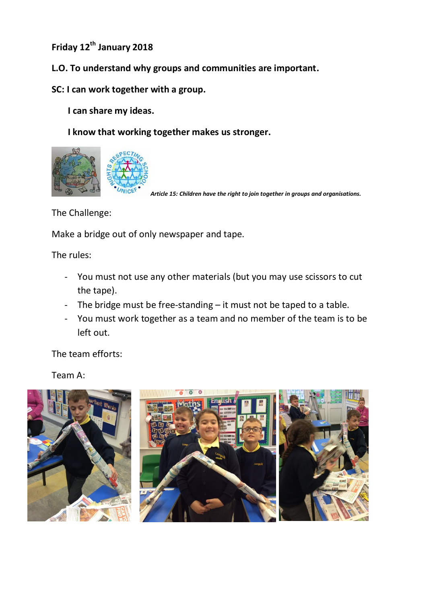**Friday 12th January 2018** 

- **L.O. To understand why groups and communities are important.**
- **SC: I can work together with a group.**

 **I can share my ideas.**

 **I know that working together makes us stronger.** 



*Article 15: Children have the right to join together in groups and organisations.* 

The Challenge:

Make a bridge out of only newspaper and tape.

The rules:

- You must not use any other materials (but you may use scissors to cut the tape).
- The bridge must be free-standing it must not be taped to a table.
- You must work together as a team and no member of the team is to be left out.

The team efforts:

Team A:

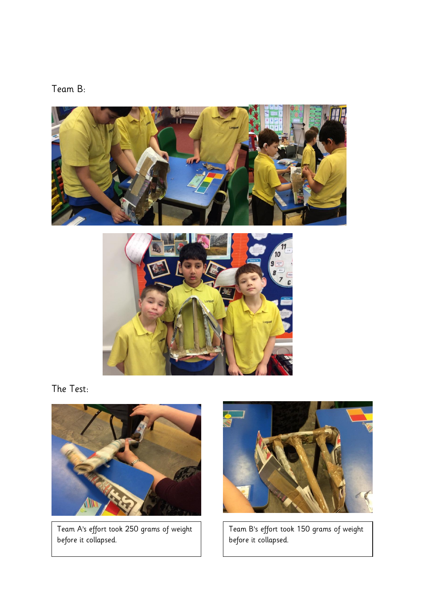





The Test:



Team A's effort took 250 grams of weight before it collapsed.



Team B's effort took 150 grams of weight before it collapsed.